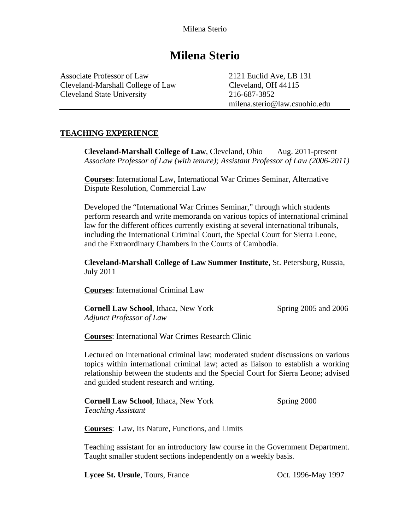Associate Professor of Law 2121 Euclid Ave, LB 131 Cleveland-Marshall College of Law Cleveland, OH 44115 Cleveland State University 216-687-3852

milena.sterio@law.csuohio.edu

## **TEACHING EXPERIENCE**

**Cleveland-Marshall College of Law, Cleveland, Ohio Aug. 2011-present** *Associate Professor of Law (with tenure); Assistant Professor of Law (2006-2011)* 

**Courses**: International Law, International War Crimes Seminar, Alternative Dispute Resolution, Commercial Law

Developed the "International War Crimes Seminar," through which students perform research and write memoranda on various topics of international criminal law for the different offices currently existing at several international tribunals, including the International Criminal Court, the Special Court for Sierra Leone, and the Extraordinary Chambers in the Courts of Cambodia.

**Cleveland-Marshall College of Law Summer Institute**, St. Petersburg, Russia, July 2011

**Courses**: International Criminal Law

| <b>Cornell Law School, Ithaca, New York</b> | Spring 2005 and 2006 |
|---------------------------------------------|----------------------|
| Adjunct Professor of Law                    |                      |

**Courses**: International War Crimes Research Clinic

Lectured on international criminal law; moderated student discussions on various topics within international criminal law; acted as liaison to establish a working relationship between the students and the Special Court for Sierra Leone; advised and guided student research and writing.

**Cornell Law School, Ithaca, New York Spring 2000** *Teaching Assistant* 

**Courses**: Law, Its Nature, Functions, and Limits

Teaching assistant for an introductory law course in the Government Department. Taught smaller student sections independently on a weekly basis.

**Lycee St. Ursule**, Tours, France **Oct. 1996-May 1997**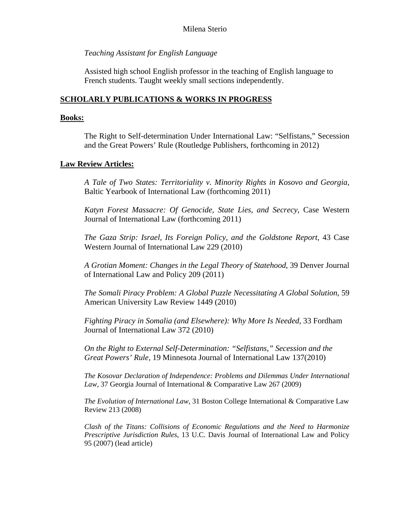## *Teaching Assistant for English Language*

Assisted high school English professor in the teaching of English language to French students. Taught weekly small sections independently.

## **SCHOLARLY PUBLICATIONS & WORKS IN PROGRESS**

## **Books:**

The Right to Self-determination Under International Law: "Selfistans," Secession and the Great Powers' Rule (Routledge Publishers, forthcoming in 2012)

## **Law Review Articles:**

*A Tale of Two States: Territoriality v. Minority Rights in Kosovo and Georgia,*  Baltic Yearbook of International Law (forthcoming 2011)

*Katyn Forest Massacre: Of Genocide, State Lies, and Secrecy*, Case Western Journal of International Law (forthcoming 2011)

*The Gaza Strip: Israel, Its Foreign Policy, and the Goldstone Report*, 43 Case Western Journal of International Law 229 (2010)

*A Grotian Moment: Changes in the Legal Theory of Statehood*, 39 Denver Journal of International Law and Policy 209 (2011)

*The Somali Piracy Problem: A Global Puzzle Necessitating A Global Solution*, 59 American University Law Review 1449 (2010)

*Fighting Piracy in Somalia (and Elsewhere): Why More Is Needed*, 33 Fordham Journal of International Law 372 (2010)

*On the Right to External Self-Determination: "Selfistans," Secession and the Great Powers' Rule,* 19 Minnesota Journal of International Law 137(2010)

*The Kosovar Declaration of Independence: Problems and Dilemmas Under International Law*, 37 Georgia Journal of International & Comparative Law 267 (2009)

*The Evolution of International Law*, 31 Boston College International & Comparative Law Review 213 (2008)

*Clash of the Titans: Collisions of Economic Regulations and the Need to Harmonize Prescriptive Jurisdiction Rules*, 13 U.C. Davis Journal of International Law and Policy 95 (2007) (lead article)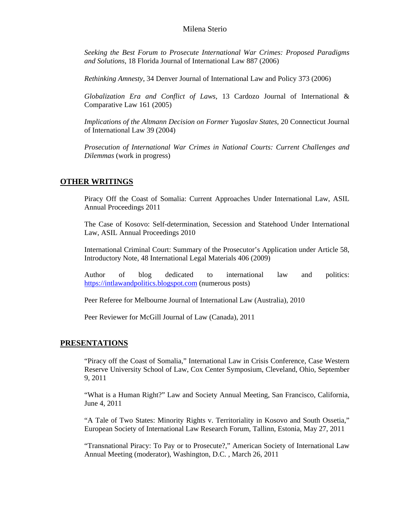*Seeking the Best Forum to Prosecute International War Crimes: Proposed Paradigms and Solutions*, 18 Florida Journal of International Law 887 (2006)

*Rethinking Amnesty*, 34 Denver Journal of International Law and Policy 373 (2006)

*Globalization Era and Conflict of Laws*, 13 Cardozo Journal of International & Comparative Law 161 (2005)

*Implications of the Altmann Decision on Former Yugoslav States*, 20 Connecticut Journal of International Law 39 (2004)

*Prosecution of International War Crimes in National Courts: Current Challenges and Dilemmas* (work in progress)

#### **OTHER WRITINGS**

Piracy Off the Coast of Somalia: Current Approaches Under International Law, ASIL Annual Proceedings 2011

The Case of Kosovo: Self-determination, Secession and Statehood Under International Law, ASIL Annual Proceedings 2010

International Criminal Court: Summary of the Prosecutor's Application under Article 58, Introductory Note, 48 International Legal Materials 406 (2009)

Author of blog dedicated to international law and politics: [https://intlawandpolitics.blogspot.com](https://intlawandpolitics.blogspot.com/) (numerous posts)

Peer Referee for Melbourne Journal of International Law (Australia), 2010

Peer Reviewer for McGill Journal of Law (Canada), 2011

#### **PRESENTATIONS**

"Piracy off the Coast of Somalia," International Law in Crisis Conference, Case Western Reserve University School of Law, Cox Center Symposium, Cleveland, Ohio, September 9, 2011

"What is a Human Right?" Law and Society Annual Meeting, San Francisco, California, June 4, 2011

"A Tale of Two States: Minority Rights v. Territoriality in Kosovo and South Ossetia," European Society of International Law Research Forum, Tallinn, Estonia, May 27, 2011

"Transnational Piracy: To Pay or to Prosecute?," American Society of International Law Annual Meeting (moderator), Washington, D.C. , March 26, 2011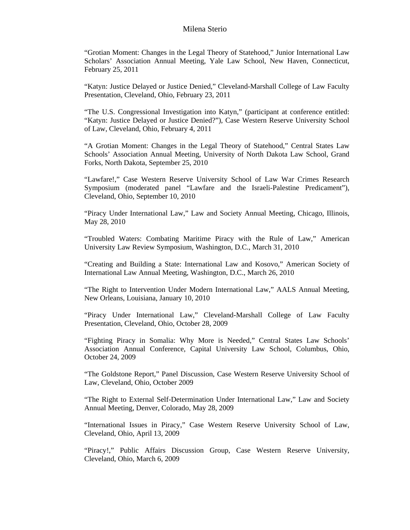"Grotian Moment: Changes in the Legal Theory of Statehood," Junior International Law Scholars' Association Annual Meeting, Yale Law School, New Haven, Connecticut, February 25, 2011

"Katyn: Justice Delayed or Justice Denied," Cleveland-Marshall College of Law Faculty Presentation, Cleveland, Ohio, February 23, 2011

"The U.S. Congressional Investigation into Katyn," (participant at conference entitled: "Katyn: Justice Delayed or Justice Denied?"), Case Western Reserve University School of Law, Cleveland, Ohio, February 4, 2011

"A Grotian Moment: Changes in the Legal Theory of Statehood," Central States Law Schools' Association Annual Meeting, University of North Dakota Law School, Grand Forks, North Dakota, September 25, 2010

"Lawfare!," Case Western Reserve University School of Law War Crimes Research Symposium (moderated panel "Lawfare and the Israeli-Palestine Predicament"), Cleveland, Ohio, September 10, 2010

"Piracy Under International Law," Law and Society Annual Meeting, Chicago, Illinois, May 28, 2010

"Troubled Waters: Combating Maritime Piracy with the Rule of Law," American University Law Review Symposium, Washington, D.C., March 31, 2010

"Creating and Building a State: International Law and Kosovo," American Society of International Law Annual Meeting, Washington, D.C., March 26, 2010

"The Right to Intervention Under Modern International Law," AALS Annual Meeting, New Orleans, Louisiana, January 10, 2010

"Piracy Under International Law," Cleveland-Marshall College of Law Faculty Presentation, Cleveland, Ohio, October 28, 2009

"Fighting Piracy in Somalia: Why More is Needed," Central States Law Schools' Association Annual Conference, Capital University Law School, Columbus, Ohio, October 24, 2009

"The Goldstone Report," Panel Discussion, Case Western Reserve University School of Law, Cleveland, Ohio, October 2009

"The Right to External Self-Determination Under International Law," Law and Society Annual Meeting, Denver, Colorado, May 28, 2009

"International Issues in Piracy," Case Western Reserve University School of Law, Cleveland, Ohio, April 13, 2009

"Piracy!," Public Affairs Discussion Group, Case Western Reserve University, Cleveland, Ohio, March 6, 2009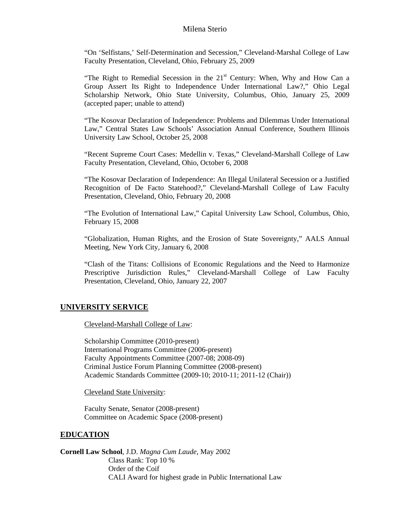"On 'Selfistans,' Self-Determination and Secession," Cleveland-Marshal College of Law Faculty Presentation, Cleveland, Ohio, February 25, 2009

"The Right to Remedial Secession in the  $21<sup>st</sup>$  Century: When, Why and How Can a Group Assert Its Right to Independence Under International Law?," Ohio Legal Scholarship Network, Ohio State University, Columbus, Ohio, January 25, 2009 (accepted paper; unable to attend)

"The Kosovar Declaration of Independence: Problems and Dilemmas Under International Law," Central States Law Schools' Association Annual Conference, Southern Illinois University Law School, October 25, 2008

"Recent Supreme Court Cases: Medellin v. Texas," Cleveland-Marshall College of Law Faculty Presentation, Cleveland, Ohio, October 6, 2008

"The Kosovar Declaration of Independence: An Illegal Unilateral Secession or a Justified Recognition of De Facto Statehood?," Cleveland-Marshall College of Law Faculty Presentation, Cleveland, Ohio, February 20, 2008

"The Evolution of International Law," Capital University Law School, Columbus, Ohio, February 15, 2008

"Globalization, Human Rights, and the Erosion of State Sovereignty," AALS Annual Meeting, New York City, January 6, 2008

"Clash of the Titans: Collisions of Economic Regulations and the Need to Harmonize Prescriptive Jurisdiction Rules," Cleveland-Marshall College of Law Faculty Presentation, Cleveland, Ohio, January 22, 2007

#### **UNIVERSITY SERVICE**

Cleveland-Marshall College of Law:

Scholarship Committee (2010-present) International Programs Committee (2006-present) Faculty Appointments Committee (2007-08; 2008-09) Criminal Justice Forum Planning Committee (2008-present) Academic Standards Committee (2009-10; 2010-11; 2011-12 (Chair))

Cleveland State University:

 Faculty Senate, Senator (2008-present) Committee on Academic Space (2008-present)

#### **EDUCATION**

**Cornell Law School**, J.D. *Magna Cum Laude*, May 2002 Class Rank: Top 10 % Order of the Coif CALI Award for highest grade in Public International Law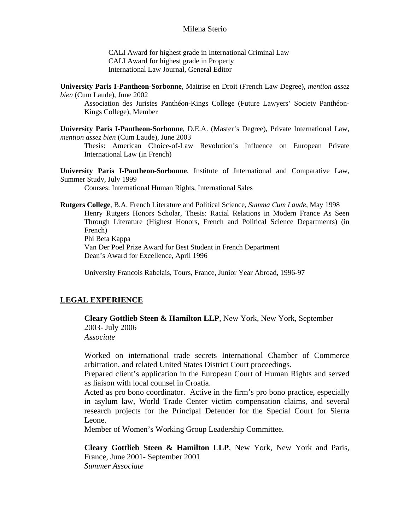CALI Award for highest grade in International Criminal Law CALI Award for highest grade in Property International Law Journal, General Editor

**University Paris I-Pantheon-Sorbonne**, Maitrise en Droit (French Law Degree), *mention assez bien* (Cum Laude), June 2002

Association des Juristes Panthéon-Kings College (Future Lawyers' Society Panthéon-Kings College), Member

**University Paris I-Pantheon-Sorbonne**, D.E.A. (Master's Degree), Private International Law, *mention assez bien* (Cum Laude), June 2003

Thesis: American Choice-of-Law Revolution's Influence on European Private International Law (in French)

**University Paris I-Pantheon-Sorbonne**, Institute of International and Comparative Law, Summer Study, July 1999

Courses: International Human Rights, International Sales

**Rutgers College**, B.A. French Literature and Political Science, *Summa Cum Laude*, May 1998 Henry Rutgers Honors Scholar, Thesis: Racial Relations in Modern France As Seen Through Literature (Highest Honors, French and Political Science Departments) (in French) Phi Beta Kappa Van Der Poel Prize Award for Best Student in French Department

Dean's Award for Excellence, April 1996

University Francois Rabelais, Tours, France, Junior Year Abroad, 1996-97

#### **LEGAL EXPERIENCE**

**Cleary Gottlieb Steen & Hamilton LLP**, New York, New York, September 2003- July 2006

*Associate* 

Worked on international trade secrets International Chamber of Commerce arbitration, and related United States District Court proceedings.

Prepared client's application in the European Court of Human Rights and served as liaison with local counsel in Croatia.

Acted as pro bono coordinator. Active in the firm's pro bono practice, especially in asylum law, World Trade Center victim compensation claims, and several research projects for the Principal Defender for the Special Court for Sierra Leone.

Member of Women's Working Group Leadership Committee.

**Cleary Gottlieb Steen & Hamilton LLP**, New York, New York and Paris, France, June 2001- September 2001 *Summer Associate*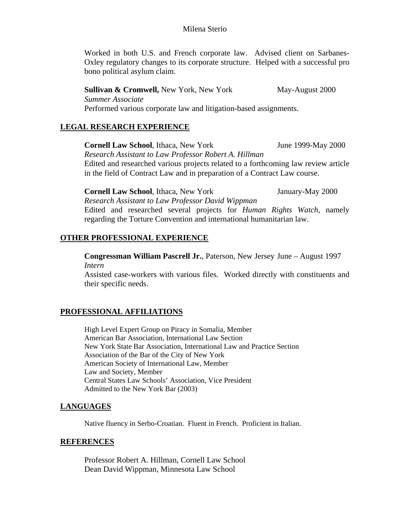Worked in both U.S. and French corporate law. Advised client on Sarbanes-Oxley regulatory changes to its corporate structure. Helped with a successful pro bono political asylum claim.

**Sullivan & Cromwell,** New York, New York May-August 2000 *Summer Associate*  Performed various corporate law and litigation-based assignments.

## **LEGAL RESEARCH EXPERIENCE**

**Cornell Law School**, Ithaca, New York June 1999-May 2000

*Research Assistant to Law Professor Robert A. Hillman* 

Edited and researched various projects related to a forthcoming law review article in the field of Contract Law and in preparation of a Contract Law course.

**Cornell Law School**, Ithaca, New York January-May 2000 *Research Assistant to Law Professor David Wippman*  Edited and researched several projects for *Human Rights Watch*, namely regarding the Torture Convention and international humanitarian law.

## **OTHER PROFESSIONAL EXPERIENCE**

**Congressman William Pascrell Jr.***,* Paterson, New Jersey June – August 1997 *Intern* 

Assisted case-workers with various files. Worked directly with constituents and their specific needs.

## **PROFESSIONAL AFFILIATIONS**

High Level Expert Group on Piracy in Somalia, Member American Bar Association, International Law Section New York State Bar Association, International Law and Practice Section Association of the Bar of the City of New York American Society of International Law, Member Law and Society, Member Central States Law Schools' Association, Vice President Admitted to the New York Bar (2003)

#### **LANGUAGES**

Native fluency in Serbo-Croatian. Fluent in French. Proficient in Italian.

#### **REFERENCES**

 Professor Robert A. Hillman, Cornell Law School Dean David Wippman, Minnesota Law School